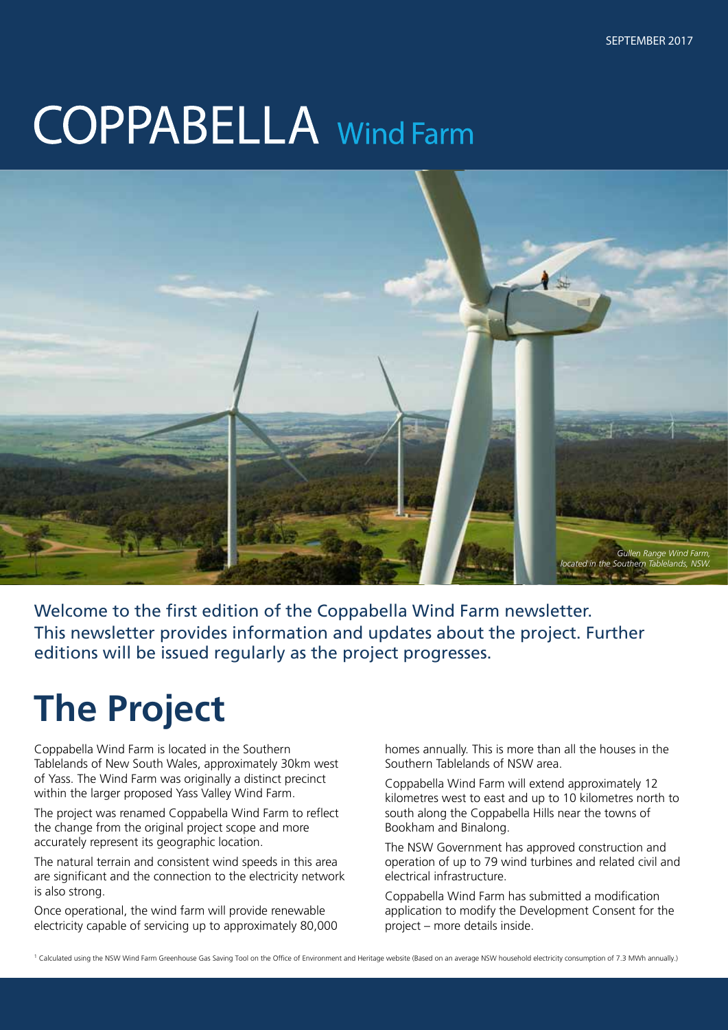# **COPPABELLA** Wind Farm



Welcome to the first edition of the Coppabella Wind Farm newsletter. This newsletter provides information and updates about the project. Further editions will be issued regularly as the project progresses.

## **The Project**

Coppabella Wind Farm is located in the Southern Tablelands of New South Wales, approximately 30km west of Yass. The Wind Farm was originally a distinct precinct within the larger proposed Yass Valley Wind Farm.

The project was renamed Coppabella Wind Farm to reflect the change from the original project scope and more accurately represent its geographic location.

The natural terrain and consistent wind speeds in this area are significant and the connection to the electricity network is also strong.

Once operational, the wind farm will provide renewable electricity capable of servicing up to approximately 80,000 homes annually. This is more than all the houses in the Southern Tablelands of NSW area.

Coppabella Wind Farm will extend approximately 12 kilometres west to east and up to 10 kilometres north to south along the Coppabella Hills near the towns of Bookham and Binalong.

The NSW Government has approved construction and operation of up to 79 wind turbines and related civil and electrical infrastructure.

Coppabella Wind Farm has submitted a modification application to modify the Development Consent for the project – more details inside.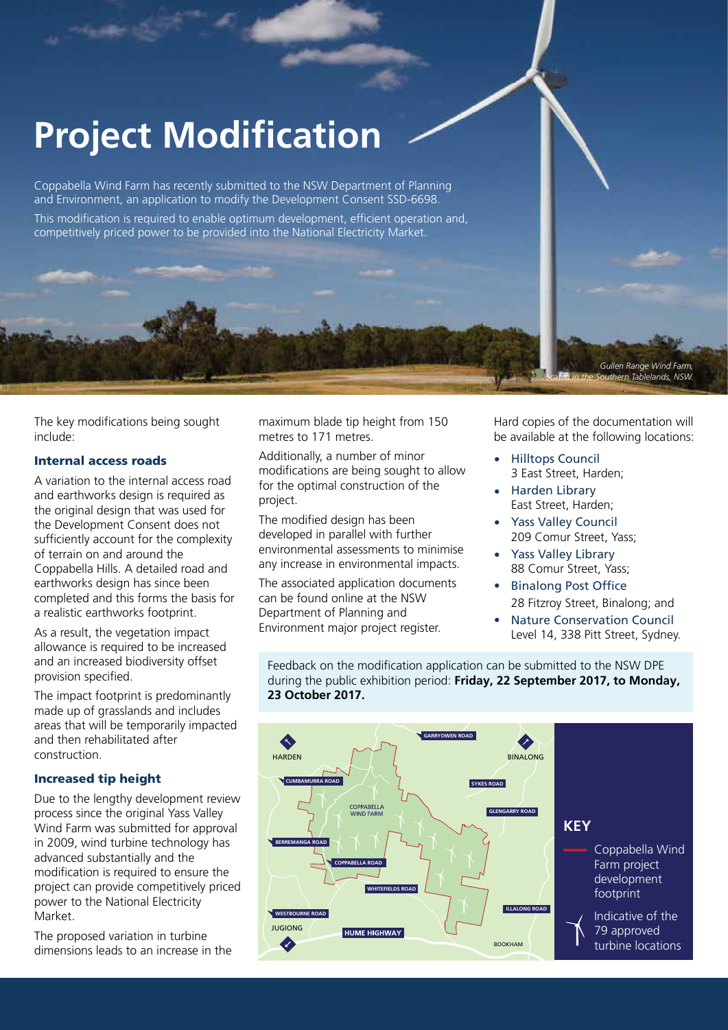## **Project Modification**

Coppabella Wind Farm has recently submitted to the NSW Department of Planning and Environment, an application to modify the Development Consent SSD-6698.

This modification is required to enable optimum development, efficient operation and, competitively priced power to be provided into the National Electricity Market.

The key modifications being sought include:

#### Internal access roads

A variation to the internal access road and earthworks design is required as the original design that was used for the Development Consent does not sufficiently account for the complexity of terrain on and around the Coppabella Hills. A detailed road and earthworks design has since been completed and this forms the basis for a realistic earthworks footprint.

As a result, the vegetation impact allowance is required to be increased and an increased biodiversity offset provision specified.

The impact footprint is predominantly made up of grasslands and includes areas that will be temporarily impacted and then rehabilitated after construction.

#### Increased tip height

Due to the lengthy development review process since the original Yass Valley Wind Farm was submitted for approval in 2009, wind turbine technology has advanced substantially and the modification is required to ensure the project can provide competitively priced power to the National Electricity Market.

The proposed variation in turbine dimensions leads to an increase in the maximum blade tip height from 150 metres to 171 metres.

Additionally, a number of minor modifications are being sought to allow for the optimal construction of the project.

The modified design has been developed in parallel with further environmental assessments to minimise any increase in environmental impacts.

The associated application documents can be found online at the NSW Department of Planning and Environment major project register.

Hard copies of the documentation will be available at the following locations:

*Gullen Range Wind Farm, located in the Southern Tablelands, NSW.*

- Hilltops Council 3 East Street, Harden;
- Harden Library East Street, Harden; •
- Yass Valley Council 209 Comur Street, Yass; •
- Yass Valley Library 88 Comur Street, Yass; •
- Binalong Post Office 28 Fitzroy Street, Binalong; and •
- Nature Conservation Council Level 14, 338 Pitt Street, Sydney. •

Feedback on the modification application can be submitted to the NSW DPE during the public exhibition period: **Friday, 22 September 2017, to Monday, 23 October 2017.**

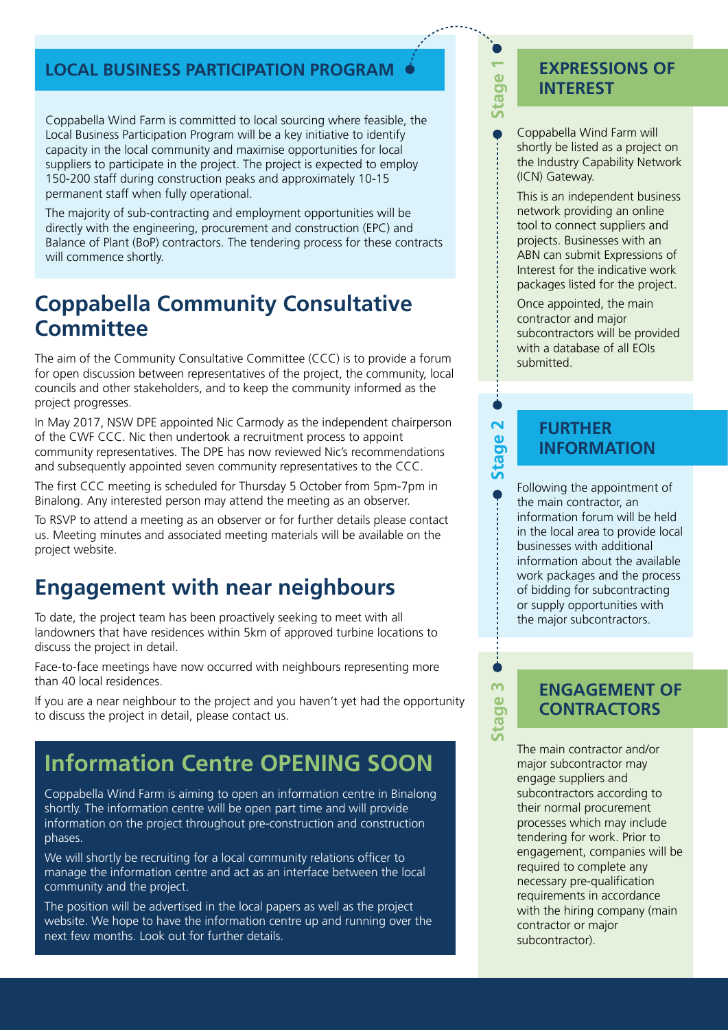#### **LOCAL BUSINESS PARTICIPATION PROGRAM**

Coppabella Wind Farm is committed to local sourcing where feasible, the Local Business Participation Program will be a key initiative to identify capacity in the local community and maximise opportunities for local suppliers to participate in the project. The project is expected to employ 150-200 staff during construction peaks and approximately 10-15 permanent staff when fully operational.

The majority of sub-contracting and employment opportunities will be directly with the engineering, procurement and construction (EPC) and Balance of Plant (BoP) contractors. The tendering process for these contracts will commence shortly.

### **Coppabella Community Consultative Committee**

The aim of the Community Consultative Committee (CCC) is to provide a forum for open discussion between representatives of the project, the community, local councils and other stakeholders, and to keep the community informed as the project progresses.

In May 2017, NSW DPE appointed Nic Carmody as the independent chairperson of the CWF CCC. Nic then undertook a recruitment process to appoint community representatives. The DPE has now reviewed Nic's recommendations and subsequently appointed seven community representatives to the CCC.

The first CCC meeting is scheduled for Thursday 5 October from 5pm-7pm in Binalong. Any interested person may attend the meeting as an observer.

To RSVP to attend a meeting as an observer or for further details please contact us. Meeting minutes and associated meeting materials will be available on the project website.

### **Engagement with near neighbours**

To date, the project team has been proactively seeking to meet with all landowners that have residences within 5km of approved turbine locations to discuss the project in detail.

Face-to-face meetings have now occurred with neighbours representing more than 40 local residences.

If you are a near neighbour to the project and you haven't yet had the opportunity to discuss the project in detail, please contact us.

## **Information Centre OPENING SOON**

Coppabella Wind Farm is aiming to open an information centre in Binalong shortly. The information centre will be open part time and will provide information on the project throughout pre-construction and construction phases.

We will shortly be recruiting for a local community relations officer to manage the information centre and act as an interface between the local community and the project.

The position will be advertised in the local papers as well as the project website. We hope to have the information centre up and running over the next few months. Look out for further details.

#### **EXPRESSIONS OF INTEREST**

Coppabella Wind Farm will shortly be listed as a project on the Industry Capability Network (ICN) Gateway.

Stage

 $\overline{\mathbf{N}}$ 

**Stage** 

 $\overline{m}$ 

Stage:

This is an independent business network providing an online tool to connect suppliers and projects. Businesses with an ABN can submit Expressions of Interest for the indicative work packages listed for the project.

Once appointed, the main contractor and major subcontractors will be provided with a database of all EOIs submitted.

#### **FURTHER INFORMATION**

Following the appointment of the main contractor, an information forum will be held in the local area to provide local businesses with additional information about the available work packages and the process of bidding for subcontracting or supply opportunities with the major subcontractors.

#### **ENGAGEMENT OF CONTRACTORS**

The main contractor and/or major subcontractor may engage suppliers and subcontractors according to their normal procurement processes which may include tendering for work. Prior to engagement, companies will be required to complete any necessary pre-qualification requirements in accordance with the hiring company (main contractor or major subcontractor).